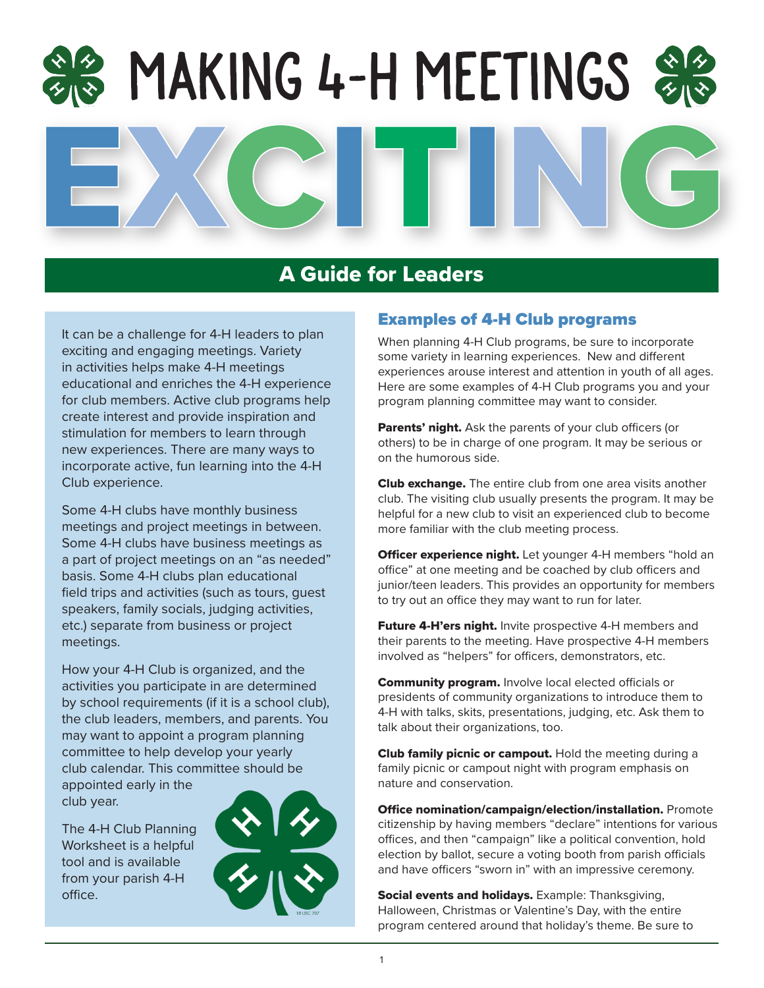## Making 4-H Meetings

#### A Guide for Leaders

It can be a challenge for 4-H leaders to plan exciting and engaging meetings. Variety in activities helps make 4-H meetings educational and enriches the 4-H experience for club members. Active club programs help create interest and provide inspiration and stimulation for members to learn through new experiences. There are many ways to incorporate active, fun learning into the 4-H Club experience.

Some 4-H clubs have monthly business meetings and project meetings in between. Some 4-H clubs have business meetings as a part of project meetings on an "as needed" basis. Some 4-H clubs plan educational field trips and activities (such as tours, guest speakers, family socials, judging activities, etc.) separate from business or project meetings.

How your 4-H Club is organized, and the activities you participate in are determined by school requirements (if it is a school club), the club leaders, members, and parents. You may want to appoint a program planning committee to help develop your yearly club calendar. This committee should be

appointed early in the club year.

The 4-H Club Planning Worksheet is a helpful tool and is available from your parish 4-H office.



#### Examples of 4-H Club programs

When planning 4-H Club programs, be sure to incorporate some variety in learning experiences. New and different experiences arouse interest and attention in youth of all ages. Here are some examples of 4-H Club programs you and your program planning committee may want to consider.

Parents' night. Ask the parents of your club officers (or others) to be in charge of one program. It may be serious or on the humorous side.

**Club exchange.** The entire club from one area visits another club. The visiting club usually presents the program. It may be helpful for a new club to visit an experienced club to become more familiar with the club meeting process.

Officer experience night. Let younger 4-H members "hold an office" at one meeting and be coached by club officers and junior/teen leaders. This provides an opportunity for members to try out an office they may want to run for later.

Future 4-H'ers night. Invite prospective 4-H members and their parents to the meeting. Have prospective 4-H members involved as "helpers" for officers, demonstrators, etc.

Community program. Involve local elected officials or presidents of community organizations to introduce them to 4-H with talks, skits, presentations, judging, etc. Ask them to talk about their organizations, too.

Club family picnic or campout. Hold the meeting during a family picnic or campout night with program emphasis on nature and conservation.

Office nomination/campaign/election/installation. Promote citizenship by having members "declare" intentions for various offices, and then "campaign" like a political convention, hold election by ballot, secure a voting booth from parish officials and have officers "sworn in" with an impressive ceremony.

Social events and holidays. Example: Thanksgiving, Halloween, Christmas or Valentine's Day, with the entire program centered around that holiday's theme. Be sure to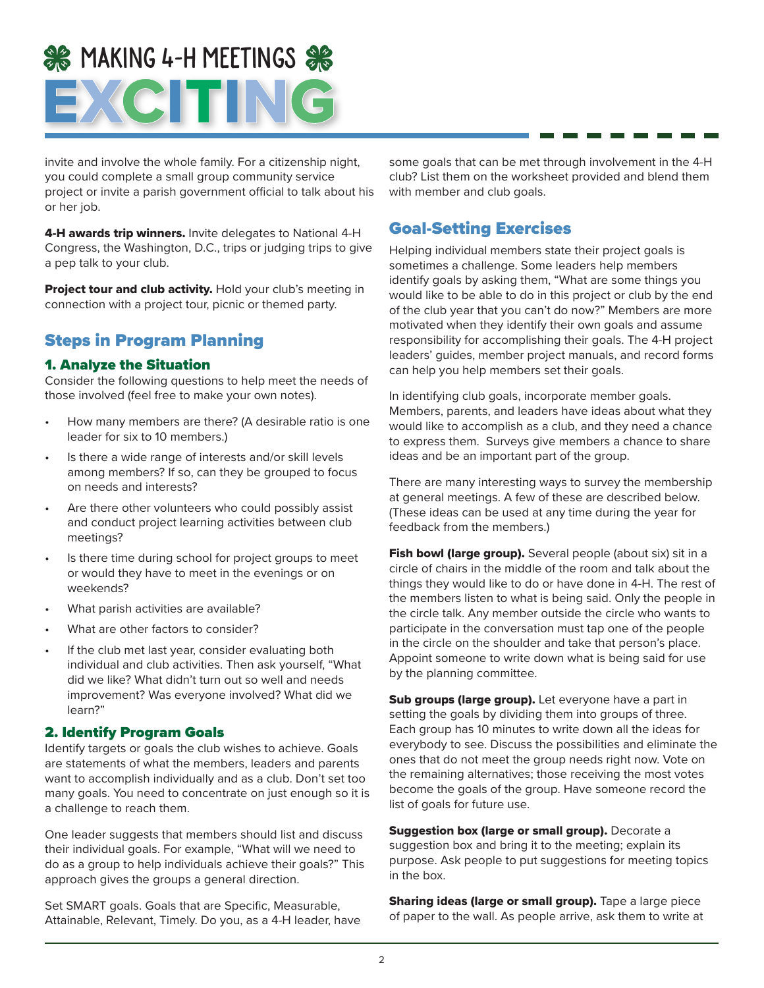## **SE MAKING 4-H MEETINGS SE** EXCITING

invite and involve the whole family. For a citizenship night, you could complete a small group community service project or invite a parish government official to talk about his or her job.

4-H awards trip winners. Invite delegates to National 4-H Congress, the Washington, D.C., trips or judging trips to give a pep talk to your club.

Project tour and club activity. Hold your club's meeting in connection with a project tour, picnic or themed party.

#### Steps in Program Planning

#### 1. Analyze the Situation

Consider the following questions to help meet the needs of those involved (feel free to make your own notes).

- How many members are there? (A desirable ratio is one leader for six to 10 members.)
- Is there a wide range of interests and/or skill levels among members? If so, can they be grouped to focus on needs and interests?
- Are there other volunteers who could possibly assist and conduct project learning activities between club meetings?
- Is there time during school for project groups to meet or would they have to meet in the evenings or on weekends?
- What parish activities are available?
- What are other factors to consider?
- If the club met last year, consider evaluating both individual and club activities. Then ask yourself, "What did we like? What didn't turn out so well and needs improvement? Was everyone involved? What did we learn?"

#### 2. Identify Program Goals

Identify targets or goals the club wishes to achieve. Goals are statements of what the members, leaders and parents want to accomplish individually and as a club. Don't set too many goals. You need to concentrate on just enough so it is a challenge to reach them.

One leader suggests that members should list and discuss their individual goals. For example, "What will we need to do as a group to help individuals achieve their goals?" This approach gives the groups a general direction.

Set SMART goals. Goals that are Specific, Measurable, Attainable, Relevant, Timely. Do you, as a 4-H leader, have

some goals that can be met through involvement in the 4-H club? List them on the worksheet provided and blend them with member and club goals.

#### Goal-Setting Exercises

Helping individual members state their project goals is sometimes a challenge. Some leaders help members identify goals by asking them, "What are some things you would like to be able to do in this project or club by the end of the club year that you can't do now?" Members are more motivated when they identify their own goals and assume responsibility for accomplishing their goals. The 4-H project leaders' guides, member project manuals, and record forms can help you help members set their goals.

In identifying club goals, incorporate member goals. Members, parents, and leaders have ideas about what they would like to accomplish as a club, and they need a chance to express them. Surveys give members a chance to share ideas and be an important part of the group.

There are many interesting ways to survey the membership at general meetings. A few of these are described below. (These ideas can be used at any time during the year for feedback from the members.)

Fish bowl (large group). Several people (about six) sit in a circle of chairs in the middle of the room and talk about the things they would like to do or have done in 4-H. The rest of the members listen to what is being said. Only the people in the circle talk. Any member outside the circle who wants to participate in the conversation must tap one of the people in the circle on the shoulder and take that person's place. Appoint someone to write down what is being said for use by the planning committee.

Sub groups (large group). Let everyone have a part in setting the goals by dividing them into groups of three. Each group has 10 minutes to write down all the ideas for everybody to see. Discuss the possibilities and eliminate the ones that do not meet the group needs right now. Vote on the remaining alternatives; those receiving the most votes become the goals of the group. Have someone record the list of goals for future use.

Suggestion box (large or small group). Decorate a suggestion box and bring it to the meeting; explain its purpose. Ask people to put suggestions for meeting topics in the box.

**Sharing ideas (large or small group).** Tape a large piece of paper to the wall. As people arrive, ask them to write at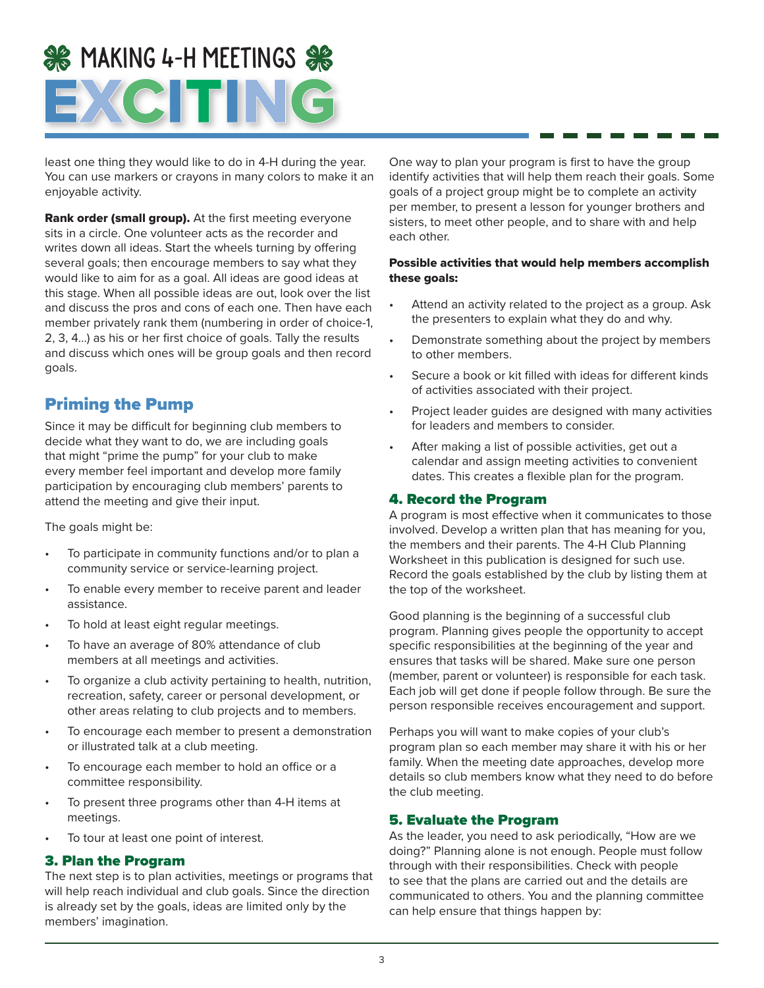## **SE MAKING 4-H MEETINGS SE** EXCITING

least one thing they would like to do in 4-H during the year. You can use markers or crayons in many colors to make it an enjoyable activity.

Rank order (small group). At the first meeting everyone sits in a circle. One volunteer acts as the recorder and writes down all ideas. Start the wheels turning by offering several goals; then encourage members to say what they would like to aim for as a goal. All ideas are good ideas at this stage. When all possible ideas are out, look over the list and discuss the pros and cons of each one. Then have each member privately rank them (numbering in order of choice-1, 2, 3, 4…) as his or her first choice of goals. Tally the results and discuss which ones will be group goals and then record goals.

#### Priming the Pump

Since it may be difficult for beginning club members to decide what they want to do, we are including goals that might "prime the pump" for your club to make every member feel important and develop more family participation by encouraging club members' parents to attend the meeting and give their input.

The goals might be:

- To participate in community functions and/or to plan a community service or service-learning project.
- To enable every member to receive parent and leader assistance.
- To hold at least eight regular meetings.
- To have an average of 80% attendance of club members at all meetings and activities.
- To organize a club activity pertaining to health, nutrition, recreation, safety, career or personal development, or other areas relating to club projects and to members.
- To encourage each member to present a demonstration or illustrated talk at a club meeting.
- To encourage each member to hold an office or a committee responsibility.
- To present three programs other than 4-H items at meetings.
- To tour at least one point of interest.

#### 3. Plan the Program

The next step is to plan activities, meetings or programs that will help reach individual and club goals. Since the direction is already set by the goals, ideas are limited only by the members' imagination.

One way to plan your program is first to have the group identify activities that will help them reach their goals. Some goals of a project group might be to complete an activity per member, to present a lesson for younger brothers and sisters, to meet other people, and to share with and help each other.

#### Possible activities that would help members accomplish these goals:

- Attend an activity related to the project as a group. Ask the presenters to explain what they do and why.
- Demonstrate something about the project by members to other members.
- Secure a book or kit filled with ideas for different kinds of activities associated with their project.
- Project leader guides are designed with many activities for leaders and members to consider.
- After making a list of possible activities, get out a calendar and assign meeting activities to convenient dates. This creates a flexible plan for the program.

#### 4. Record the Program

A program is most effective when it communicates to those involved. Develop a written plan that has meaning for you, the members and their parents. The 4-H Club Planning Worksheet in this publication is designed for such use. Record the goals established by the club by listing them at the top of the worksheet.

Good planning is the beginning of a successful club program. Planning gives people the opportunity to accept specific responsibilities at the beginning of the year and ensures that tasks will be shared. Make sure one person (member, parent or volunteer) is responsible for each task. Each job will get done if people follow through. Be sure the person responsible receives encouragement and support.

Perhaps you will want to make copies of your club's program plan so each member may share it with his or her family. When the meeting date approaches, develop more details so club members know what they need to do before the club meeting.

#### 5. Evaluate the Program

As the leader, you need to ask periodically, "How are we doing?" Planning alone is not enough. People must follow through with their responsibilities. Check with people to see that the plans are carried out and the details are communicated to others. You and the planning committee can help ensure that things happen by: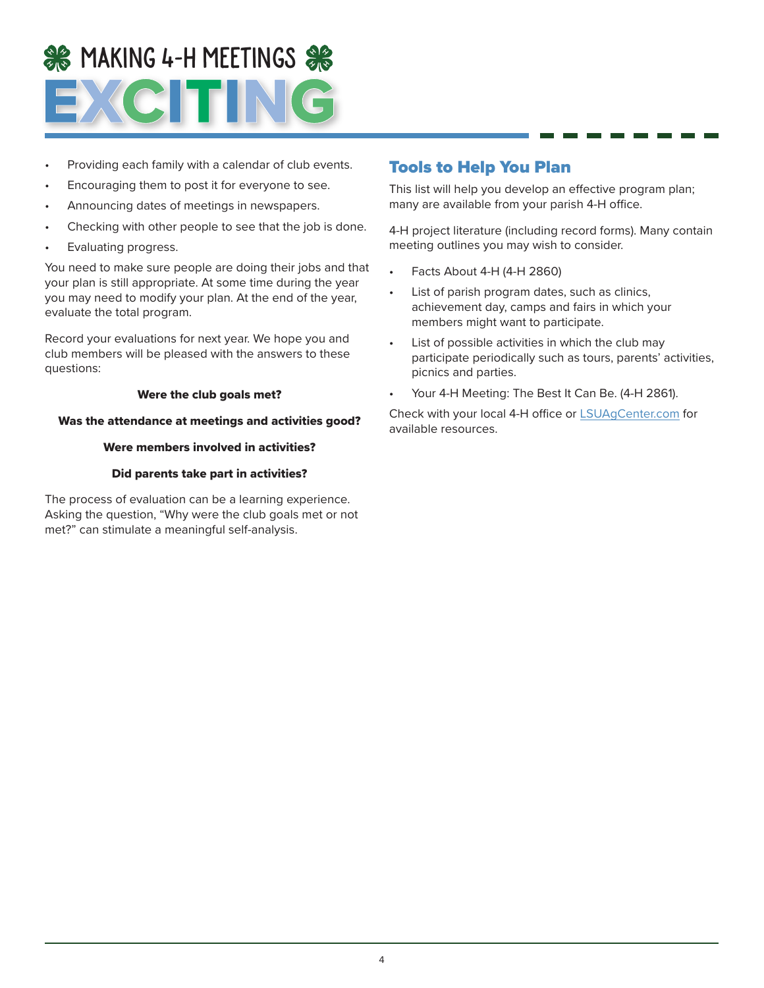# SE MAKING 4-H MEETINGS SE

- Providing each family with a calendar of club events.
- Encouraging them to post it for everyone to see.
- Announcing dates of meetings in newspapers.
- Checking with other people to see that the job is done.
- Evaluating progress.

You need to make sure people are doing their jobs and that your plan is still appropriate. At some time during the year you may need to modify your plan. At the end of the year, evaluate the total program.

Record your evaluations for next year. We hope you and club members will be pleased with the answers to these questions:

#### Were the club goals met?

#### Was the attendance at meetings and activities good?

#### Were members involved in activities?

#### Did parents take part in activities?

The process of evaluation can be a learning experience. Asking the question, "Why were the club goals met or not met?" can stimulate a meaningful self-analysis.

#### Tools to Help You Plan

This list will help you develop an effective program plan; many are available from your parish 4-H office.

4-H project literature (including record forms). Many contain meeting outlines you may wish to consider.

- Facts About 4-H (4-H 2860)
- List of parish program dates, such as clinics, achievement day, camps and fairs in which your members might want to participate.
- List of possible activities in which the club may participate periodically such as tours, parents' activities, picnics and parties.
- Your 4-H Meeting: The Best It Can Be. (4-H 2861).

Check with your local 4-H office or [LSUAgCenter.com](http://LSUAgCenter.com) for available resources.